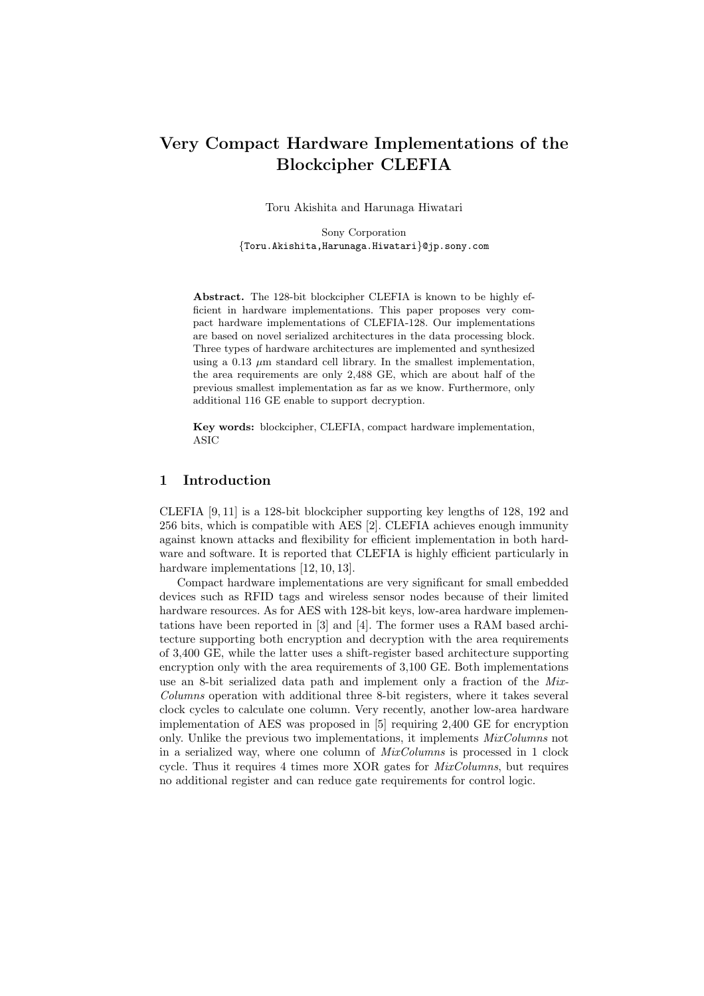# Very Compact Hardware Implementations of the Blockcipher CLEFIA

Toru Akishita and Harunaga Hiwatari

Sony Corporation {Toru.Akishita,Harunaga.Hiwatari}@jp.sony.com

Abstract. The 128-bit blockcipher CLEFIA is known to be highly efficient in hardware implementations. This paper proposes very compact hardware implementations of CLEFIA-128. Our implementations are based on novel serialized architectures in the data processing block. Three types of hardware architectures are implemented and synthesized using a 0.13  $\mu$ m standard cell library. In the smallest implementation, the area requirements are only 2,488 GE, which are about half of the previous smallest implementation as far as we know. Furthermore, only additional 116 GE enable to support decryption.

Key words: blockcipher, CLEFIA, compact hardware implementation, ASIC

#### 1 Introduction

CLEFIA [9, 11] is a 128-bit blockcipher supporting key lengths of 128, 192 and 256 bits, which is compatible with AES [2]. CLEFIA achieves enough immunity against known attacks and flexibility for efficient implementation in both hardware and software. It is reported that CLEFIA is highly efficient particularly in hardware implementations [12, 10, 13].

Compact hardware implementations are very significant for small embedded devices such as RFID tags and wireless sensor nodes because of their limited hardware resources. As for AES with 128-bit keys, low-area hardware implementations have been reported in [3] and [4]. The former uses a RAM based architecture supporting both encryption and decryption with the area requirements of 3,400 GE, while the latter uses a shift-register based architecture supporting encryption only with the area requirements of 3,100 GE. Both implementations use an 8-bit serialized data path and implement only a fraction of the Mix-Columns operation with additional three 8-bit registers, where it takes several clock cycles to calculate one column. Very recently, another low-area hardware implementation of AES was proposed in [5] requiring 2,400 GE for encryption only. Unlike the previous two implementations, it implements MixColumns not in a serialized way, where one column of  $MixColumns$  is processed in 1 clock cycle. Thus it requires 4 times more XOR gates for  $MixColumns$ , but requires no additional register and can reduce gate requirements for control logic.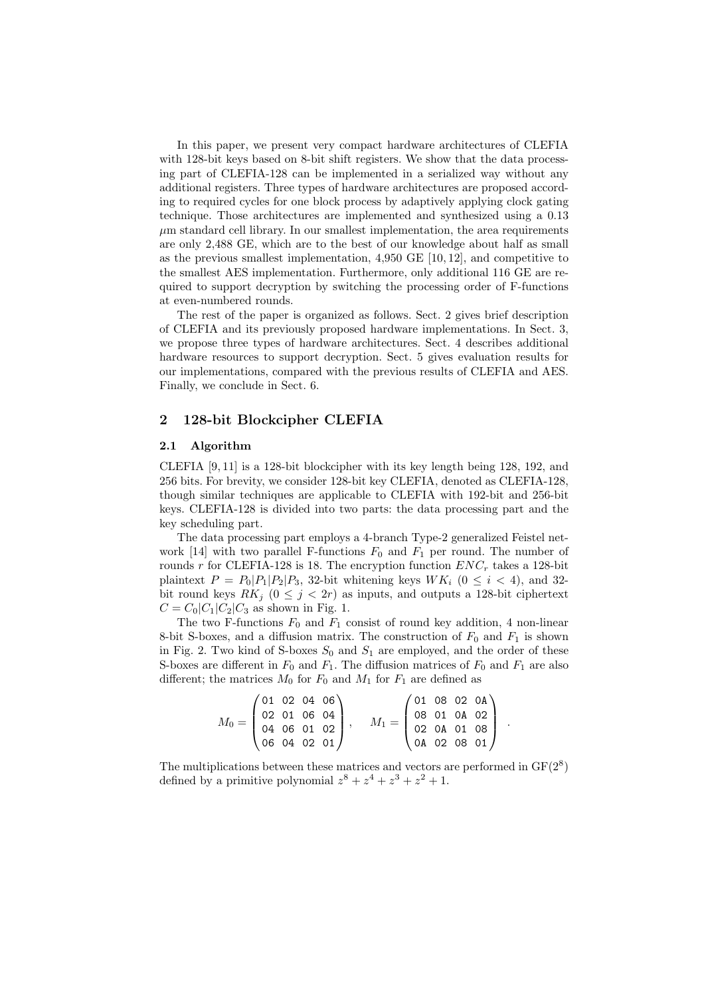In this paper, we present very compact hardware architectures of CLEFIA with 128-bit keys based on 8-bit shift registers. We show that the data processing part of CLEFIA-128 can be implemented in a serialized way without any additional registers. Three types of hardware architectures are proposed according to required cycles for one block process by adaptively applying clock gating technique. Those architectures are implemented and synthesized using a 0.13  $\mu$ m standard cell library. In our smallest implementation, the area requirements are only 2,488 GE, which are to the best of our knowledge about half as small as the previous smallest implementation,  $4,950 \text{ GE } [10, 12]$ , and competitive to the smallest AES implementation. Furthermore, only additional 116 GE are required to support decryption by switching the processing order of F-functions at even-numbered rounds.

The rest of the paper is organized as follows. Sect. 2 gives brief description of CLEFIA and its previously proposed hardware implementations. In Sect. 3, we propose three types of hardware architectures. Sect. 4 describes additional hardware resources to support decryption. Sect. 5 gives evaluation results for our implementations, compared with the previous results of CLEFIA and AES. Finally, we conclude in Sect. 6.

### 2 128-bit Blockcipher CLEFIA

#### 2.1 Algorithm

CLEFIA [9, 11] is a 128-bit blockcipher with its key length being 128, 192, and 256 bits. For brevity, we consider 128-bit key CLEFIA, denoted as CLEFIA-128, though similar techniques are applicable to CLEFIA with 192-bit and 256-bit keys. CLEFIA-128 is divided into two parts: the data processing part and the key scheduling part.

The data processing part employs a 4-branch Type-2 generalized Feistel network [14] with two parallel F-functions  $F_0$  and  $F_1$  per round. The number of rounds r for CLEFIA-128 is 18. The encryption function  $ENC_r$  takes a 128-bit plaintext  $P = P_0|P_1|P_2|P_3$ , 32-bit whitening keys  $WK_i$  ( $0 \le i \le 4$ ), and 32bit round keys  $RK_j$   $(0 \leq j < 2r)$  as inputs, and outputs a 128-bit ciphertext  $C = C_0|C_1|C_2|C_3$  as shown in Fig. 1.

The two F-functions  $F_0$  and  $F_1$  consist of round key addition, 4 non-linear 8-bit S-boxes, and a diffusion matrix. The construction of  $F_0$  and  $F_1$  is shown in Fig. 2. Two kind of S-boxes  $S_0$  and  $S_1$  are employed, and the order of these S-boxes are different in  $F_0$  and  $F_1$ . The diffusion matrices of  $F_0$  and  $F_1$  are also different; the matrices  $M_0$  for  $F_0$  and  $M_1$  for  $F_1$  are defined as

$$
M_0 = \begin{pmatrix} 01 & 02 & 04 & 06 \\ 02 & 01 & 06 & 04 \\ 04 & 06 & 01 & 02 \\ 06 & 04 & 02 & 01 \end{pmatrix}, \quad M_1 = \begin{pmatrix} 01 & 08 & 02 & 0A \\ 08 & 01 & 0A & 02 \\ 02 & 0A & 01 & 08 \\ 0A & 02 & 08 & 01 \end{pmatrix}.
$$

The multiplications between these matrices and vectors are performed in  $GF(2^8)$ defined by a primitive polynomial  $z^8 + z^4 + z^3 + z^2 + 1$ .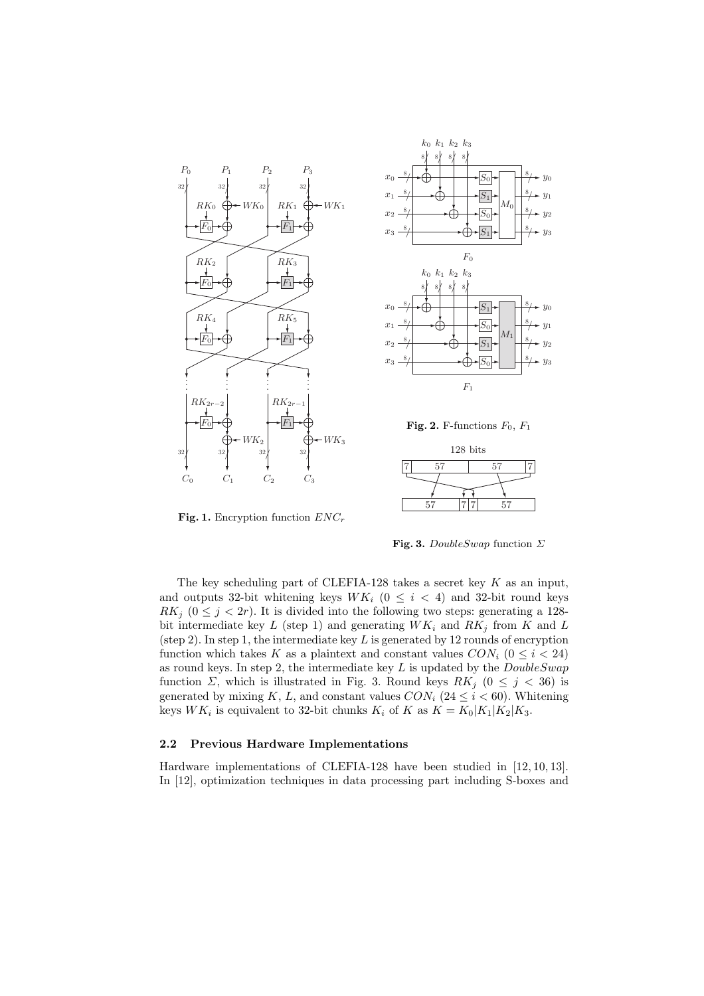



Fig. 2. F-functions  $F_0$ ,  $F_1$ 



Fig. 1. Encryption function  $ENC_r$ 

Fig. 3. DoubleSwap function  $\Sigma$ 

The key scheduling part of CLEFIA-128 takes a secret key  $K$  as an input, and outputs 32-bit whitening keys  $WK_i$  ( $0 \leq i \leq 4$ ) and 32-bit round keys  $RK_j$  ( $0 \leq j < 2r$ ). It is divided into the following two steps: generating a 128bit intermediate key  $L$  (step 1) and generating  $WK_i$  and  $RK_j$  from  $K$  and  $L$ (step 2). In step 1, the intermediate key  $L$  is generated by 12 rounds of encryption function which takes K as a plaintext and constant values  $CON<sub>i</sub>$   $(0 \le i \le 24)$ as round keys. In step 2, the intermediate key  $L$  is updated by the  $DoubleSwap$ function  $\Sigma$ , which is illustrated in Fig. 3. Round keys  $RK_j$  ( $0 \leq j \leq 36$ ) is generated by mixing K, L, and constant values  $CON_i$  (24  $\le i < 60$ ). Whitening keys  $WK_i$  is equivalent to 32-bit chunks  $K_i$  of K as  $K = K_0|K_1|K_2|K_3$ .

### 2.2 Previous Hardware Implementations

Hardware implementations of CLEFIA-128 have been studied in [12, 10, 13]. In [12], optimization techniques in data processing part including S-boxes and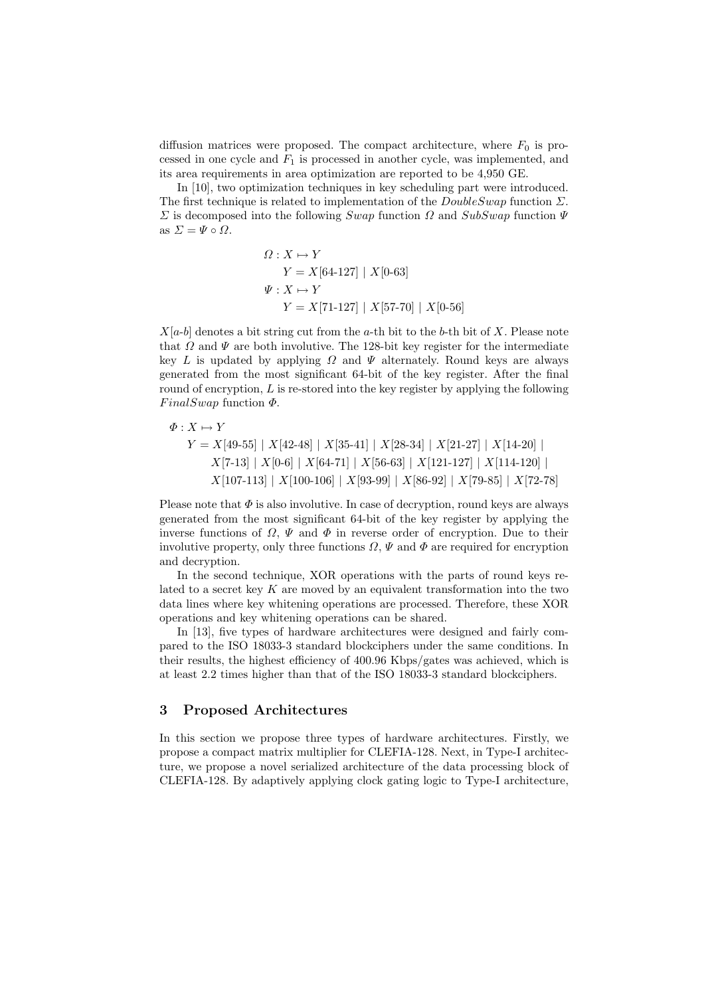diffusion matrices were proposed. The compact architecture, where  $F_0$  is processed in one cycle and  $F_1$  is processed in another cycle, was implemented, and its area requirements in area optimization are reported to be 4,950 GE.

In [10], two optimization techniques in key scheduling part were introduced. The first technique is related to implementation of the  $DoubleSwap$  function  $\Sigma$ .  $\Sigma$  is decomposed into the following Swap function Ω and SubSwap function  $\Psi$ as  $\Sigma = \Psi \circ \Omega$ .

$$
\Omega: X \mapsto Y
$$
  
\n
$$
Y = X[64-127] | X[0-63]
$$
  
\n
$$
\Psi: X \mapsto Y
$$
  
\n
$$
Y = X[71-127] | X[57-70] | X[0-56]
$$

 $X[a-b]$  denotes a bit string cut from the a-th bit to the b-th bit of X. Please note that  $\Omega$  and  $\Psi$  are both involutive. The 128-bit key register for the intermediate key L is updated by applying  $\Omega$  and  $\Psi$  alternately. Round keys are always generated from the most significant 64-bit of the key register. After the final round of encryption,  $L$  is re-stored into the key register by applying the following  $FinalSwap$  function  $\Phi$ .

$$
\Phi: X \mapsto Y
$$
\n
$$
Y = X[49-55] | X[42-48] | X[35-41] | X[28-34] | X[21-27] | X[14-20] | X[7-13] | X[0-6] | X[64-71] | X[56-63] | X[121-127] | X[114-120] | X[107-113] | X[100-106] | X[93-99] | X[86-92] | X[79-85] | X[72-78]
$$

Please note that  $\Phi$  is also involutive. In case of decryption, round keys are always generated from the most significant 64-bit of the key register by applying the inverse functions of  $\Omega$ ,  $\Psi$  and  $\Phi$  in reverse order of encryption. Due to their involutive property, only three functions  $\Omega$ ,  $\Psi$  and  $\Phi$  are required for encryption and decryption.

In the second technique, XOR operations with the parts of round keys related to a secret key  $K$  are moved by an equivalent transformation into the two data lines where key whitening operations are processed. Therefore, these XOR operations and key whitening operations can be shared.

In [13], five types of hardware architectures were designed and fairly compared to the ISO 18033-3 standard blockciphers under the same conditions. In their results, the highest efficiency of 400.96 Kbps/gates was achieved, which is at least 2.2 times higher than that of the ISO 18033-3 standard blockciphers.

### 3 Proposed Architectures

In this section we propose three types of hardware architectures. Firstly, we propose a compact matrix multiplier for CLEFIA-128. Next, in Type-I architecture, we propose a novel serialized architecture of the data processing block of CLEFIA-128. By adaptively applying clock gating logic to Type-I architecture,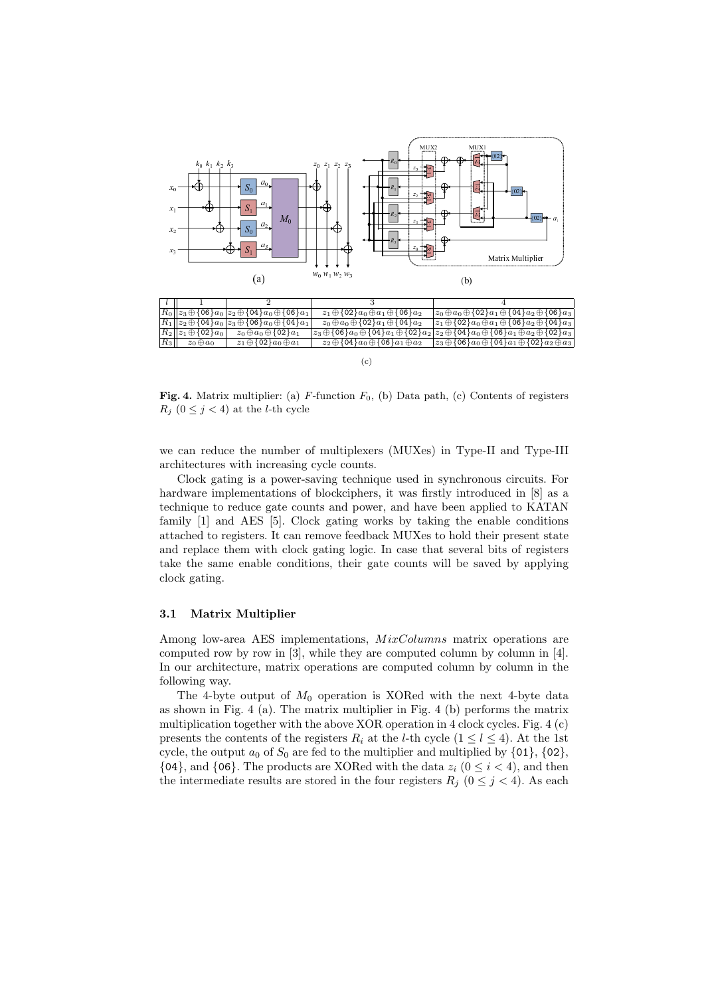

Fig. 4. Matrix multiplier: (a)  $F$ -function  $F_0$ , (b) Data path, (c) Contents of registers  $R_j$  (0  $\leq$  j  $<$  4) at the *l*-th cycle

we can reduce the number of multiplexers (MUXes) in Type-II and Type-III architectures with increasing cycle counts.

Clock gating is a power-saving technique used in synchronous circuits. For hardware implementations of blockciphers, it was firstly introduced in [8] as a technique to reduce gate counts and power, and have been applied to KATAN family [1] and AES [5]. Clock gating works by taking the enable conditions attached to registers. It can remove feedback MUXes to hold their present state and replace them with clock gating logic. In case that several bits of registers take the same enable conditions, their gate counts will be saved by applying clock gating.

### 3.1 Matrix Multiplier

Among low-area AES implementations,  $MixColumns$  matrix operations are computed row by row in [3], while they are computed column by column in [4]. In our architecture, matrix operations are computed column by column in the following way.

The 4-byte output of  $M_0$  operation is XORed with the next 4-byte data as shown in Fig. 4 (a). The matrix multiplier in Fig. 4 (b) performs the matrix multiplication together with the above XOR operation in 4 clock cycles. Fig. 4 (c) presents the contents of the registers  $R_i$  at the *l*-th cycle  $(1 \leq l \leq 4)$ . At the 1st cycle, the output  $a_0$  of  $S_0$  are fed to the multiplier and multiplied by  $\{01\}$ ,  $\{02\}$ ,  ${04}$ , and  ${06}$ . The products are XORed with the data  $z_i$  ( $0 \le i \le 4$ ), and then the intermediate results are stored in the four registers  $R_j$  ( $0 \leq j < 4$ ). As each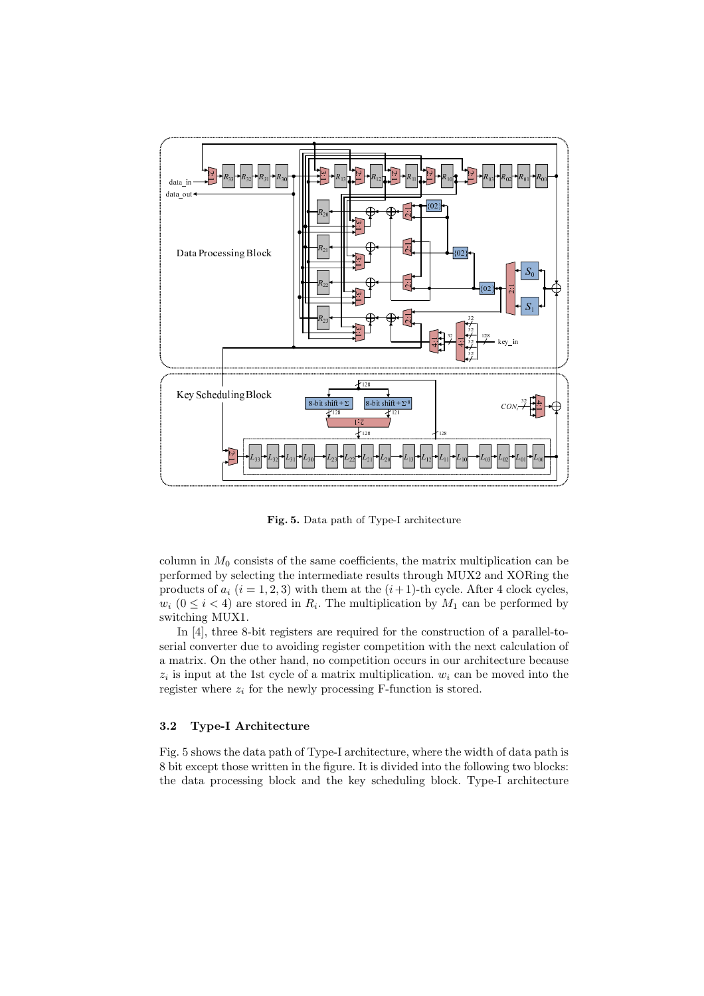

Fig. 5. Data path of Type-I architecture

column in  $M_0$  consists of the same coefficients, the matrix multiplication can be performed by selecting the intermediate results through MUX2 and XORing the products of  $a_i$  ( $i = 1, 2, 3$ ) with them at the  $(i + 1)$ -th cycle. After 4 clock cycles,  $w_i$  ( $0 \le i < 4$ ) are stored in  $R_i$ . The multiplication by  $M_1$  can be performed by switching MUX1.

In [4], three 8-bit registers are required for the construction of a parallel-toserial converter due to avoiding register competition with the next calculation of a matrix. On the other hand, no competition occurs in our architecture because  $z_i$  is input at the 1st cycle of a matrix multiplication.  $w_i$  can be moved into the register where  $z_i$  for the newly processing F-function is stored.

#### 3.2 Type-I Architecture

Fig. 5 shows the data path of Type-I architecture, where the width of data path is 8 bit except those written in the figure. It is divided into the following two blocks: the data processing block and the key scheduling block. Type-I architecture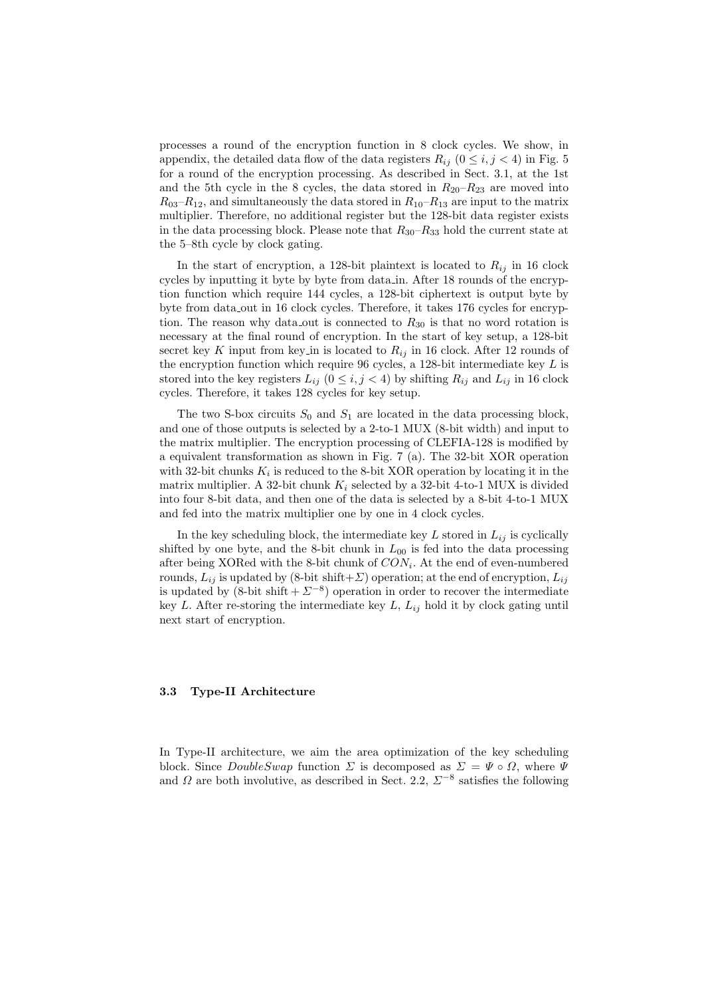processes a round of the encryption function in 8 clock cycles. We show, in appendix, the detailed data flow of the data registers  $R_{ij}$  ( $0 \le i, j \le 4$ ) in Fig. 5 for a round of the encryption processing. As described in Sect. 3.1, at the 1st and the 5th cycle in the 8 cycles, the data stored in  $R_{20}-R_{23}$  are moved into  $R_{03}-R_{12}$ , and simultaneously the data stored in  $R_{10}-R_{13}$  are input to the matrix multiplier. Therefore, no additional register but the 128-bit data register exists in the data processing block. Please note that  $R_{30}-R_{33}$  hold the current state at the 5–8th cycle by clock gating.

In the start of encryption, a 128-bit plaintext is located to  $R_{ij}$  in 16 clock cycles by inputting it byte by byte from data in. After 18 rounds of the encryption function which require 144 cycles, a 128-bit ciphertext is output byte by byte from data out in 16 clock cycles. Therefore, it takes 176 cycles for encryption. The reason why data out is connected to  $R_{30}$  is that no word rotation is necessary at the final round of encryption. In the start of key setup, a 128-bit secret key K input from key in is located to  $R_{ij}$  in 16 clock. After 12 rounds of the encryption function which require  $96$  cycles, a 128-bit intermediate key  $L$  is stored into the key registers  $L_{ij}$   $(0 \leq i, j < 4)$  by shifting  $R_{ij}$  and  $L_{ij}$  in 16 clock cycles. Therefore, it takes 128 cycles for key setup.

The two S-box circuits  $S_0$  and  $S_1$  are located in the data processing block, and one of those outputs is selected by a 2-to-1 MUX (8-bit width) and input to the matrix multiplier. The encryption processing of CLEFIA-128 is modified by a equivalent transformation as shown in Fig. 7 (a). The 32-bit XOR operation with 32-bit chunks  $K_i$  is reduced to the 8-bit XOR operation by locating it in the matrix multiplier. A 32-bit chunk  $K_i$  selected by a 32-bit 4-to-1 MUX is divided into four 8-bit data, and then one of the data is selected by a 8-bit 4-to-1 MUX and fed into the matrix multiplier one by one in 4 clock cycles.

In the key scheduling block, the intermediate key  $L$  stored in  $L_{ij}$  is cyclically shifted by one byte, and the 8-bit chunk in  $L_{00}$  is fed into the data processing after being XORed with the 8-bit chunk of  $CON<sub>i</sub>$ . At the end of even-numbered rounds,  $L_{ij}$  is updated by (8-bit shift+ $\Sigma$ ) operation; at the end of encryption,  $L_{ij}$ is updated by  $(8\text{-bit shift} + \Sigma^{-8})$  operation in order to recover the intermediate key L. After re-storing the intermediate key  $L, L_{ij}$  hold it by clock gating until next start of encryption.

#### 3.3 Type-II Architecture

In Type-II architecture, we aim the area optimization of the key scheduling block. Since  $DoubleSwap$  function  $\Sigma$  is decomposed as  $\Sigma = \Psi \circ \Omega$ , where  $\Psi$ and  $\Omega$  are both involutive, as described in Sect. 2.2,  $\Sigma^{-8}$  satisfies the following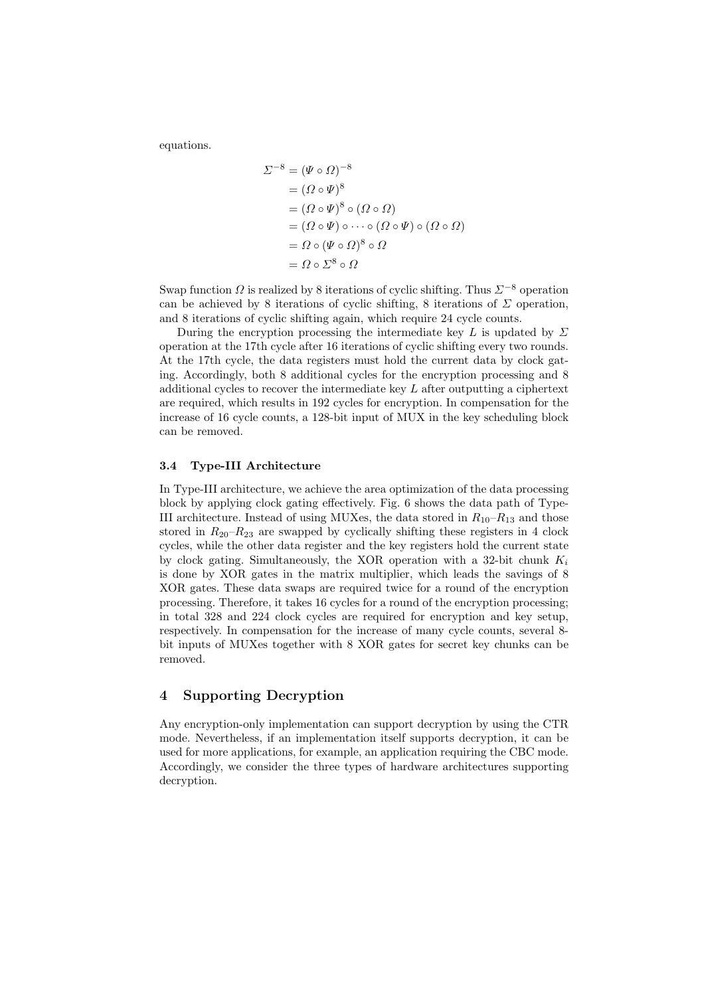equations.

$$
\Sigma^{-8} = (\Psi \circ \Omega)^{-8}
$$
  
=  $(\Omega \circ \Psi)^8$   
=  $(\Omega \circ \Psi)^8 \circ (\Omega \circ \Omega)$   
=  $(\Omega \circ \Psi) \circ \cdots \circ (\Omega \circ \Psi) \circ (\Omega \circ \Omega)$   
=  $\Omega \circ (\Psi \circ \Omega)^8 \circ \Omega$   
=  $\Omega \circ \Sigma^8 \circ \Omega$ 

Swap function  $\Omega$  is realized by 8 iterations of cyclic shifting. Thus  $\Sigma^{-8}$  operation can be achieved by 8 iterations of cyclic shifting, 8 iterations of  $\Sigma$  operation, and 8 iterations of cyclic shifting again, which require 24 cycle counts.

During the encryption processing the intermediate key L is updated by  $\Sigma$ operation at the 17th cycle after 16 iterations of cyclic shifting every two rounds. At the 17th cycle, the data registers must hold the current data by clock gating. Accordingly, both 8 additional cycles for the encryption processing and 8 additional cycles to recover the intermediate key L after outputting a ciphertext are required, which results in 192 cycles for encryption. In compensation for the increase of 16 cycle counts, a 128-bit input of MUX in the key scheduling block can be removed.

#### 3.4 Type-III Architecture

In Type-III architecture, we achieve the area optimization of the data processing block by applying clock gating effectively. Fig. 6 shows the data path of Type-III architecture. Instead of using MUXes, the data stored in  $R_{10}-R_{13}$  and those stored in  $R_{20}-R_{23}$  are swapped by cyclically shifting these registers in 4 clock cycles, while the other data register and the key registers hold the current state by clock gating. Simultaneously, the XOR operation with a 32-bit chunk  $K_i$ is done by XOR gates in the matrix multiplier, which leads the savings of 8 XOR gates. These data swaps are required twice for a round of the encryption processing. Therefore, it takes 16 cycles for a round of the encryption processing; in total 328 and 224 clock cycles are required for encryption and key setup, respectively. In compensation for the increase of many cycle counts, several 8 bit inputs of MUXes together with 8 XOR gates for secret key chunks can be removed.

# 4 Supporting Decryption

Any encryption-only implementation can support decryption by using the CTR mode. Nevertheless, if an implementation itself supports decryption, it can be used for more applications, for example, an application requiring the CBC mode. Accordingly, we consider the three types of hardware architectures supporting decryption.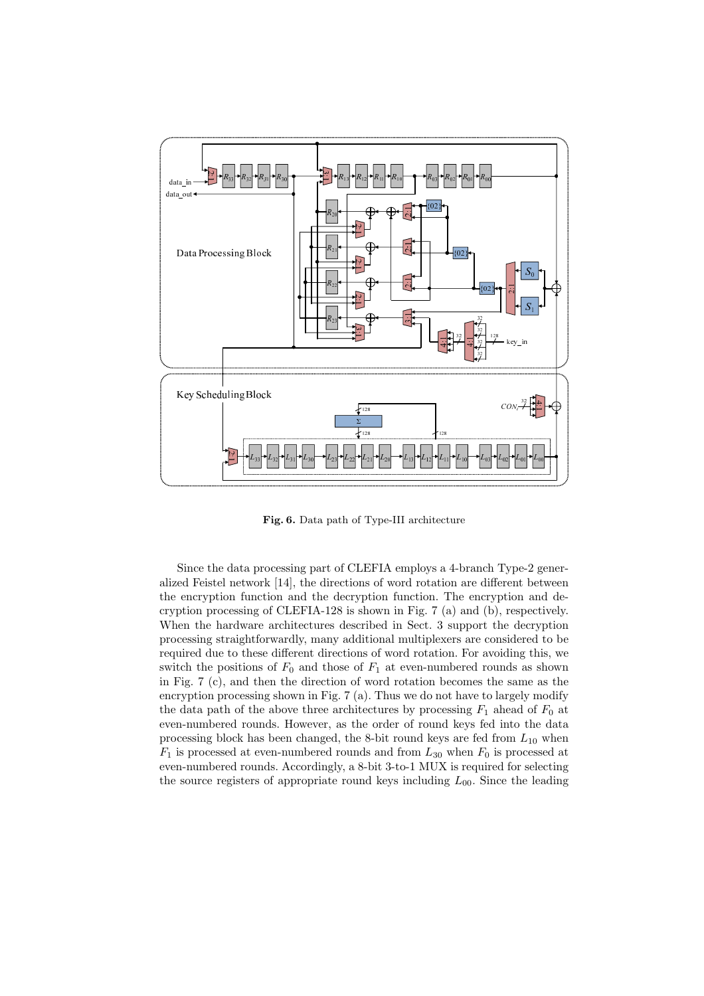

Fig. 6. Data path of Type-III architecture

Since the data processing part of CLEFIA employs a 4-branch Type-2 generalized Feistel network [14], the directions of word rotation are different between the encryption function and the decryption function. The encryption and decryption processing of CLEFIA-128 is shown in Fig. 7 (a) and (b), respectively. When the hardware architectures described in Sect. 3 support the decryption processing straightforwardly, many additional multiplexers are considered to be required due to these different directions of word rotation. For avoiding this, we switch the positions of  $F_0$  and those of  $F_1$  at even-numbered rounds as shown in Fig. 7 (c), and then the direction of word rotation becomes the same as the encryption processing shown in Fig. 7 (a). Thus we do not have to largely modify the data path of the above three architectures by processing  $F_1$  ahead of  $F_0$  at even-numbered rounds. However, as the order of round keys fed into the data processing block has been changed, the 8-bit round keys are fed from  $L_{10}$  when  $F_1$  is processed at even-numbered rounds and from  $L_{30}$  when  $F_0$  is processed at even-numbered rounds. Accordingly, a 8-bit 3-to-1 MUX is required for selecting the source registers of appropriate round keys including  $L_{00}$ . Since the leading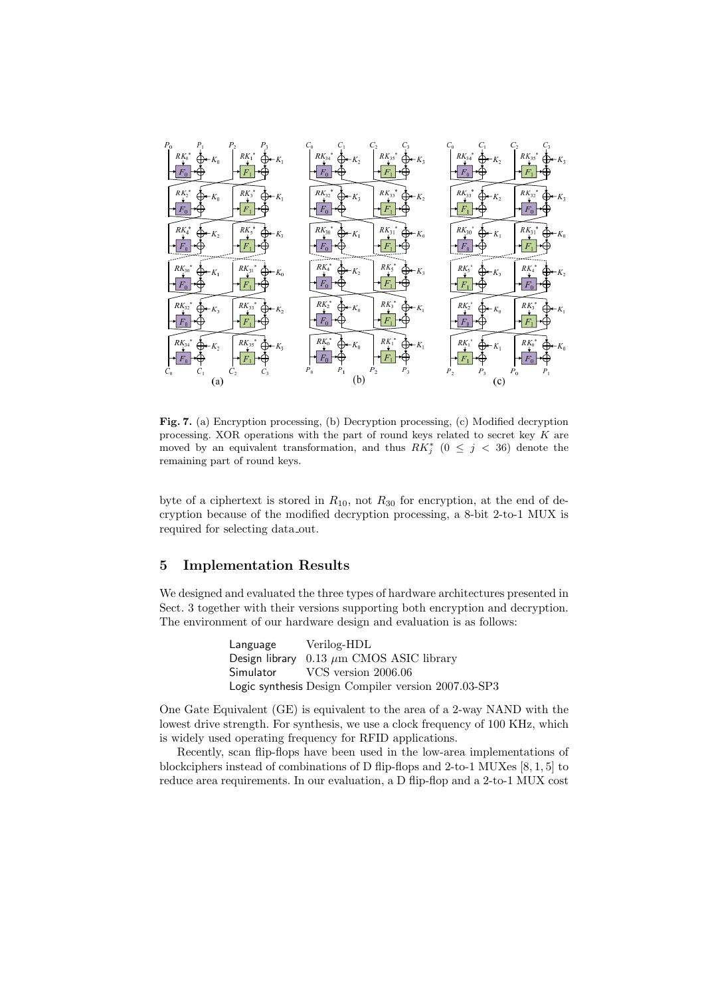

Fig. 7. (a) Encryption processing, (b) Decryption processing, (c) Modified decryption processing. XOR operations with the part of round keys related to secret key K are moved by an equivalent transformation, and thus  $RK_j^*$  ( $0 \leq j \leq 36$ ) denote the remaining part of round keys.

byte of a ciphertext is stored in  $R_{10}$ , not  $R_{30}$  for encryption, at the end of decryption because of the modified decryption processing, a 8-bit 2-to-1 MUX is required for selecting data out.

# 5 Implementation Results

We designed and evaluated the three types of hardware architectures presented in Sect. 3 together with their versions supporting both encryption and decryption. The environment of our hardware design and evaluation is as follows:

> Language Verilog-HDL Design library  $0.13 \ \mu \text{m}$  CMOS ASIC library Simulator VCS version 2006.06 Logic synthesis Design Compiler version 2007.03-SP3

One Gate Equivalent (GE) is equivalent to the area of a 2-way NAND with the lowest drive strength. For synthesis, we use a clock frequency of 100 KHz, which is widely used operating frequency for RFID applications.

Recently, scan flip-flops have been used in the low-area implementations of blockciphers instead of combinations of D flip-flops and 2-to-1 MUXes [8, 1, 5] to reduce area requirements. In our evaluation, a D flip-flop and a 2-to-1 MUX cost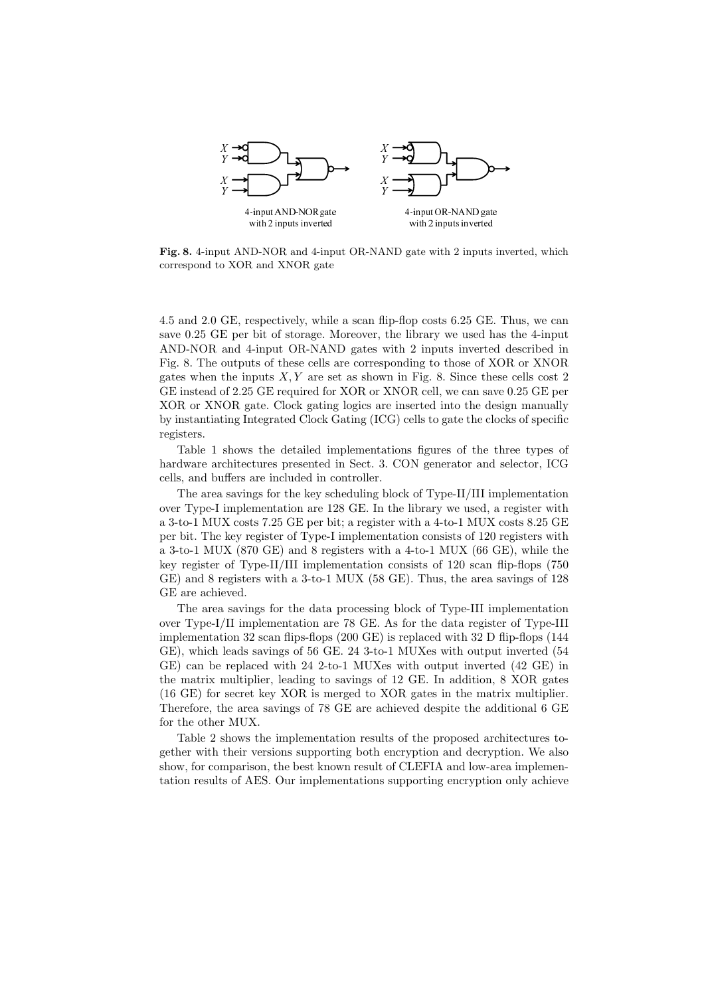

Fig. 8. 4-input AND-NOR and 4-input OR-NAND gate with 2 inputs inverted, which correspond to XOR and XNOR gate

4.5 and 2.0 GE, respectively, while a scan flip-flop costs 6.25 GE. Thus, we can save 0.25 GE per bit of storage. Moreover, the library we used has the 4-input AND-NOR and 4-input OR-NAND gates with 2 inputs inverted described in Fig. 8. The outputs of these cells are corresponding to those of XOR or XNOR gates when the inputs  $X, Y$  are set as shown in Fig. 8. Since these cells cost 2 GE instead of 2.25 GE required for XOR or XNOR cell, we can save 0.25 GE per XOR or XNOR gate. Clock gating logics are inserted into the design manually by instantiating Integrated Clock Gating (ICG) cells to gate the clocks of specific registers.

Table 1 shows the detailed implementations figures of the three types of hardware architectures presented in Sect. 3. CON generator and selector, ICG cells, and buffers are included in controller.

The area savings for the key scheduling block of Type-II/III implementation over Type-I implementation are 128 GE. In the library we used, a register with a 3-to-1 MUX costs 7.25 GE per bit; a register with a 4-to-1 MUX costs 8.25 GE per bit. The key register of Type-I implementation consists of 120 registers with a 3-to-1 MUX (870 GE) and 8 registers with a 4-to-1 MUX (66 GE), while the key register of Type-II/III implementation consists of 120 scan flip-flops (750 GE) and 8 registers with a 3-to-1 MUX (58 GE). Thus, the area savings of 128 GE are achieved.

The area savings for the data processing block of Type-III implementation over Type-I/II implementation are 78 GE. As for the data register of Type-III implementation 32 scan flips-flops (200 GE) is replaced with 32 D flip-flops (144 GE), which leads savings of 56 GE. 24 3-to-1 MUXes with output inverted (54 GE) can be replaced with 24 2-to-1 MUXes with output inverted (42 GE) in the matrix multiplier, leading to savings of 12 GE. In addition, 8 XOR gates (16 GE) for secret key XOR is merged to XOR gates in the matrix multiplier. Therefore, the area savings of 78 GE are achieved despite the additional 6 GE for the other MUX.

Table 2 shows the implementation results of the proposed architectures together with their versions supporting both encryption and decryption. We also show, for comparison, the best known result of CLEFIA and low-area implementation results of AES. Our implementations supporting encryption only achieve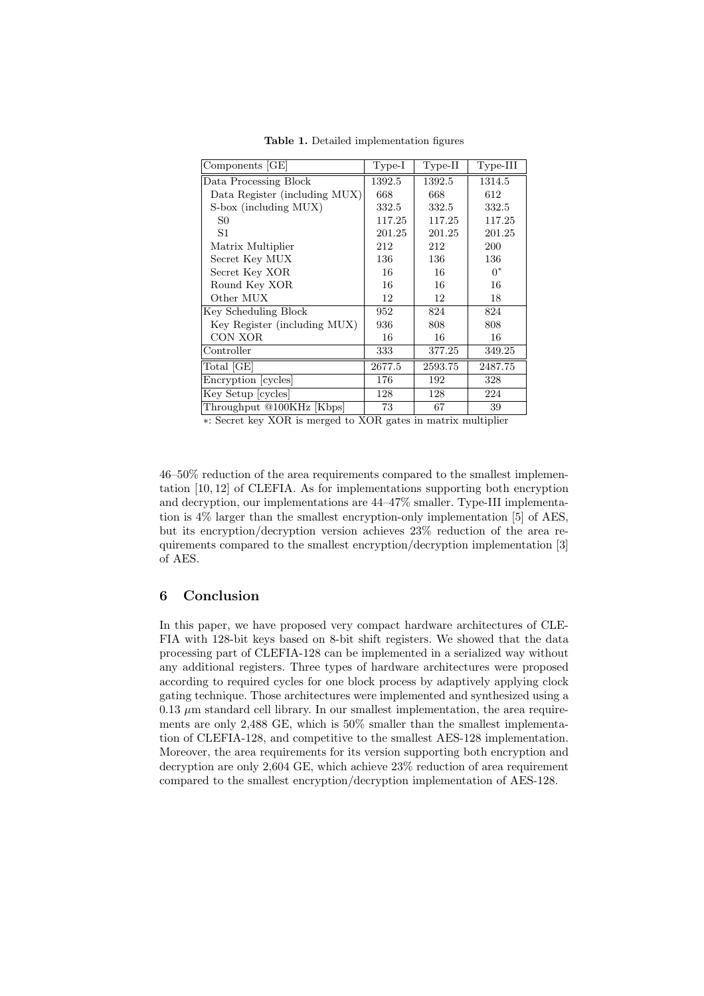| Components [GE]               | $Type-I$ | $Type-II$ | $Type-III$ |
|-------------------------------|----------|-----------|------------|
| Data Processing Block         | 1392.5   | 1392.5    | 1314.5     |
| Data Register (including MUX) | 668      | 668       | 612        |
| S-box (including MUX)         | 332.5    | 332.5     | 332.5      |
| S0                            | 117.25   | 117.25    | 117.25     |
| S1                            | 201.25   | 201.25    | 201.25     |
| Matrix Multiplier             | 212      | 212       | 200        |
| Secret Key MUX                | 136      | 136       | 136        |
| Secret Key XOR                | 16       | 16        | $0^*$      |
| Round Key XOR                 | 16       | 16        | 16         |
| Other MUX                     | 12       | 12        | 18         |
| Key Scheduling Block          | 952      | 824       | 824        |
| Key Register (including MUX)  | 936      | 808       | 808        |
| CON XOR                       | 16       | 16        | 16         |
| Controller                    | 333      | 377.25    | 349.25     |
| Total [GE]                    | 2677.5   | 2593.75   | 2487.75    |
| Encryption [cycles]           | 176      | 192       | 328        |
| Key Setup [cycles]            | 128      | 128       | 224        |
| Throughput @100KHz [Kbps]     | 73       | 67        | 39         |

Table 1. Detailed implementation figures

∗: Secret key XOR is merged to XOR gates in matrix multiplier

46–50% reduction of the area requirements compared to the smallest implementation [10, 12] of CLEFIA. As for implementations supporting both encryption and decryption, our implementations are 44–47% smaller. Type-III implementation is 4% larger than the smallest encryption-only implementation [5] of AES, but its encryption/decryption version achieves 23% reduction of the area requirements compared to the smallest encryption/decryption implementation [3] of AES.

### 6 Conclusion

In this paper, we have proposed very compact hardware architectures of CLE-FIA with 128-bit keys based on 8-bit shift registers. We showed that the data processing part of CLEFIA-128 can be implemented in a serialized way without any additional registers. Three types of hardware architectures were proposed according to required cycles for one block process by adaptively applying clock gating technique. Those architectures were implemented and synthesized using a  $0.13 \mu$ m standard cell library. In our smallest implementation, the area requirements are only 2,488 GE, which is 50% smaller than the smallest implementation of CLEFIA-128, and competitive to the smallest AES-128 implementation. Moreover, the area requirements for its version supporting both encryption and decryption are only 2,604 GE, which achieve 23% reduction of area requirement compared to the smallest encryption/decryption implementation of AES-128.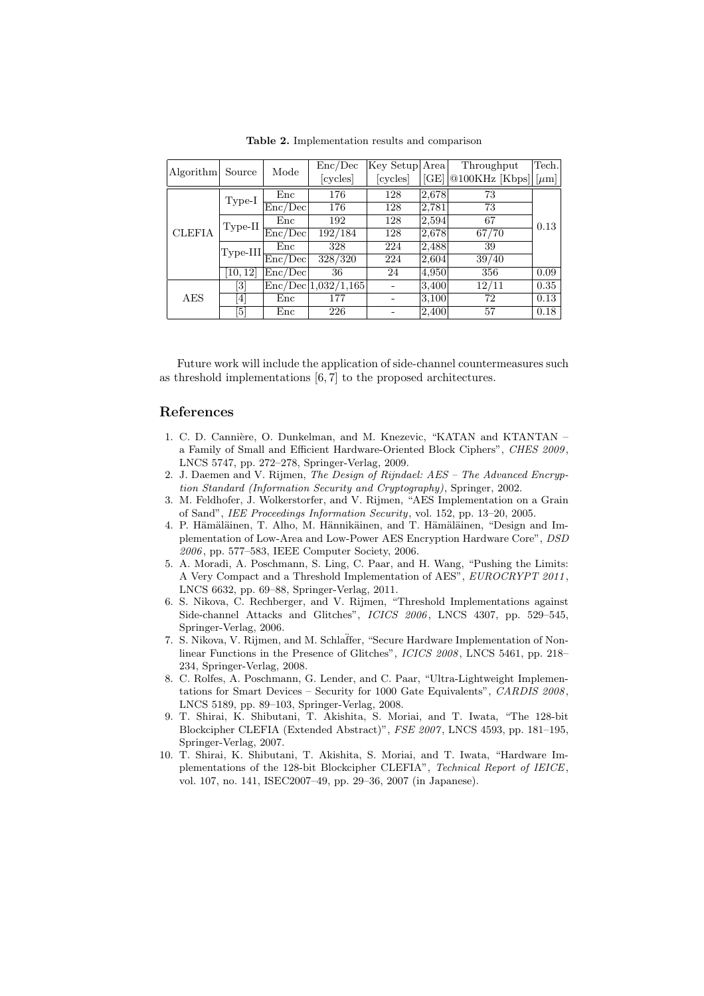| Source<br>Algorithm |                                                                                                                                                                          | Mode    | Enc/Dec             | Key Setup Area |       | Throughput                                                 | Tech. |
|---------------------|--------------------------------------------------------------------------------------------------------------------------------------------------------------------------|---------|---------------------|----------------|-------|------------------------------------------------------------|-------|
|                     |                                                                                                                                                                          |         | [cycles]            | [cycles]       |       | $[\text{GE}]$   @100KHz $[\text{Kbps}]$   $[\mu \text{m}]$ |       |
| <b>CLEFIA</b>       | $Type-I$                                                                                                                                                                 | Enc     | 176                 | 128            | 2,678 | 73                                                         |       |
|                     |                                                                                                                                                                          | Enc/Dec | 176                 | 128            | 2,781 | 73                                                         |       |
|                     | $Type-II$                                                                                                                                                                | Enc     | 192                 | 128            | 2,594 | 67                                                         | 0.13  |
|                     |                                                                                                                                                                          | Enc/Dec | 192/184             | 128            | 2,678 | 67/70                                                      |       |
|                     | Type-III.                                                                                                                                                                | Enc     | 328                 | 224            | 2,488 | 39                                                         |       |
|                     |                                                                                                                                                                          | Enc/Dec | 328/320             | 224            | 2,604 | 39/40                                                      |       |
|                     | [10, 12]                                                                                                                                                                 | Enc/Dec | 36                  | 24             | 4,950 | 356                                                        | 0.09  |
|                     | $[3] % \includegraphics[width=1\textwidth]{images/TrDiM-Architecture.png} \caption{The figure shows the number of three different ways.} \label{fig:TrDiM-Architecture}$ |         | Enc/Dec 1,032/1,165 |                | 3,400 | 12/11                                                      | 0.35  |
| AES                 | $\left[ 4 \right]$                                                                                                                                                       | Enc     | 177                 |                | 3,100 | 72                                                         | 0.13  |
|                     | $\lceil 5 \rceil$                                                                                                                                                        | Enc     | 226                 |                | 2,400 | 57                                                         | 0.18  |

Table 2. Implementation results and comparison

Future work will include the application of side-channel countermeasures such as threshold implementations [6, 7] to the proposed architectures.

# References

- 1. C. D. Cannière, O. Dunkelman, and M. Knezevic, "KATAN and KTANTAN a Family of Small and Efficient Hardware-Oriented Block Ciphers", CHES 2009 , LNCS 5747, pp. 272–278, Springer-Verlag, 2009.
- 2. J. Daemen and V. Rijmen, The Design of Rijndael: AES The Advanced Encryption Standard (Information Security and Cryptography), Springer, 2002.
- 3. M. Feldhofer, J. Wolkerstorfer, and V. Rijmen, "AES Implementation on a Grain of Sand", IEE Proceedings Information Security, vol. 152, pp. 13–20, 2005.
- 4. P. Hämäläinen, T. Alho, M. Hännikäinen, and T. Hämäläinen, "Design and Implementation of Low-Area and Low-Power AES Encryption Hardware Core", DSD 2006 , pp. 577–583, IEEE Computer Society, 2006.
- 5. A. Moradi, A. Poschmann, S. Ling, C. Paar, and H. Wang, "Pushing the Limits: A Very Compact and a Threshold Implementation of AES", EUROCRYPT 2011 , LNCS 6632, pp. 69–88, Springer-Verlag, 2011.
- 6. S. Nikova, C. Rechberger, and V. Rijmen, "Threshold Implementations against Side-channel Attacks and Glitches", ICICS 2006, LNCS 4307, pp. 529-545, Springer-Verlag, 2006.
- 7. S. Nikova, V. Rijmen, and M. Schlaffer, "Secure Hardware Implementation of Nonlinear Functions in the Presence of Glitches", ICICS 2008, LNCS 5461, pp. 218– 234, Springer-Verlag, 2008.
- 8. C. Rolfes, A. Poschmann, G. Lender, and C. Paar, "Ultra-Lightweight Implementations for Smart Devices – Security for 1000 Gate Equivalents", CARDIS 2008 , LNCS 5189, pp. 89–103, Springer-Verlag, 2008.
- 9. T. Shirai, K. Shibutani, T. Akishita, S. Moriai, and T. Iwata, "The 128-bit Blockcipher CLEFIA (Extended Abstract)", FSE 2007 , LNCS 4593, pp. 181–195, Springer-Verlag, 2007.
- 10. T. Shirai, K. Shibutani, T. Akishita, S. Moriai, and T. Iwata, "Hardware Implementations of the 128-bit Blockcipher CLEFIA", Technical Report of IEICE, vol. 107, no. 141, ISEC2007–49, pp. 29–36, 2007 (in Japanese).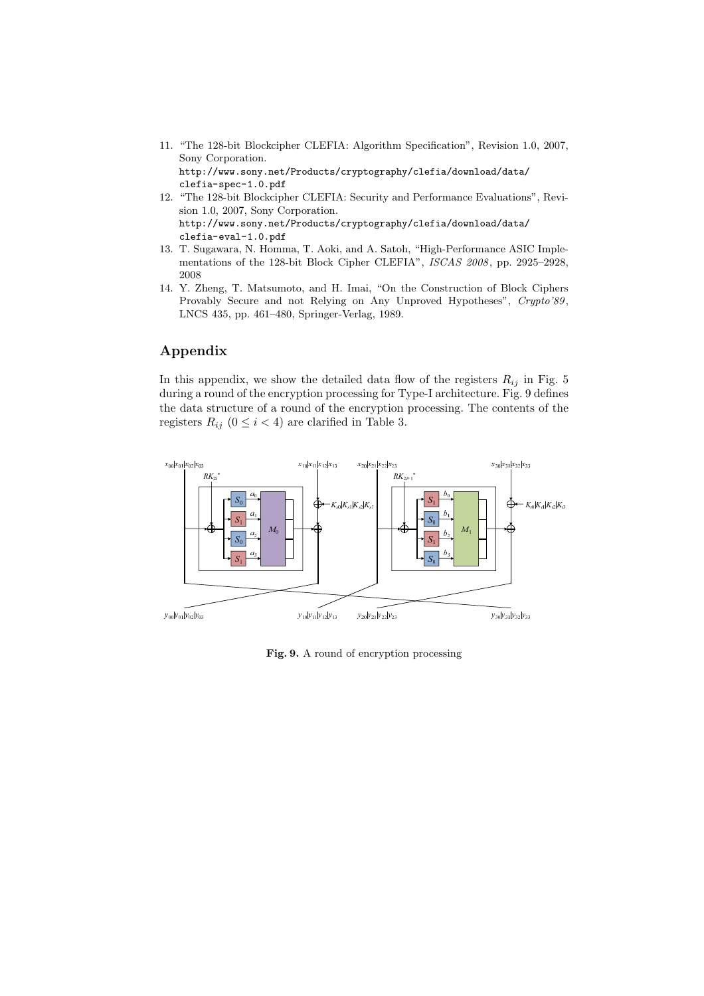- 11. "The 128-bit Blockcipher CLEFIA: Algorithm Specification", Revision 1.0, 2007, Sony Corporation. http://www.sony.net/Products/cryptography/clefia/download/data/
- clefia-spec-1.0.pdf 12. "The 128-bit Blockcipher CLEFIA: Security and Performance Evaluations", Revision 1.0, 2007, Sony Corporation. http://www.sony.net/Products/cryptography/clefia/download/data/ clefia-eval-1.0.pdf
- 13. T. Sugawara, N. Homma, T. Aoki, and A. Satoh, "High-Performance ASIC Implementations of the 128-bit Block Cipher CLEFIA", ISCAS 2008, pp. 2925-2928, 2008
- 14. Y. Zheng, T. Matsumoto, and H. Imai, "On the Construction of Block Ciphers Provably Secure and not Relying on Any Unproved Hypotheses", Crypto'89, LNCS 435, pp. 461–480, Springer-Verlag, 1989.

# Appendix

In this appendix, we show the detailed data flow of the registers  $R_{ij}$  in Fig. 5 during a round of the encryption processing for Type-I architecture. Fig. 9 defines the data structure of a round of the encryption processing. The contents of the registers  $R_{ij}$  ( $0 \le i < 4$ ) are clarified in Table 3.



Fig. 9. A round of encryption processing